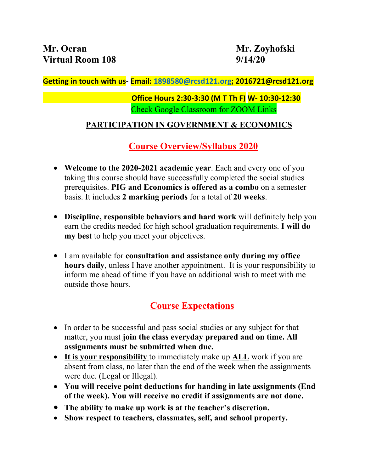#### **Getting in touch with us- Email: [1898580@rcsd121.org](mailto:1898580@rcsd121.org); 2016721@rcsd121.org**

### **Office Hours 2:30-3:30 (M T Th F) W- 10:30-12:30** Check Google Classroom for ZOOM Links

### **PARTICIPATION IN GOVERNMENT & ECONOMICS**

## **Course Overview/Syllabus 2020**

- **Welcome to the 2020-2021 academic year**. Each and every one of you taking this course should have successfully completed the social studies prerequisites. **PIG and Economics is offered as a combo** on a semester basis. It includes **2 marking periods** for a total of **20 weeks**.
- **Discipline, responsible behaviors and hard work** will definitely help you earn the credits needed for high school graduation requirements. **I will do my best** to help you meet your objectives.
- I am available for **consultation and assistance only during my office hours daily**, unless I have another appointment. It is your responsibility to inform me ahead of time if you have an additional wish to meet with me outside those hours.

## **Course Expectations**

- In order to be successful and pass social studies or any subject for that matter, you must **join the class everyday prepared and on time. All assignments must be submitted when due.**
- **It is your responsibility** to immediately make up **ALL** work if you are absent from class, no later than the end of the week when the assignments were due. (Legal or Illegal).
- **You will receive point deductions for handing in late assignments (End of the week). You will receive no credit if assignments are not done.**
- **The ability to make up work is at the teacher's discretion.**
- **Show respect to teachers, classmates, self, and school property.**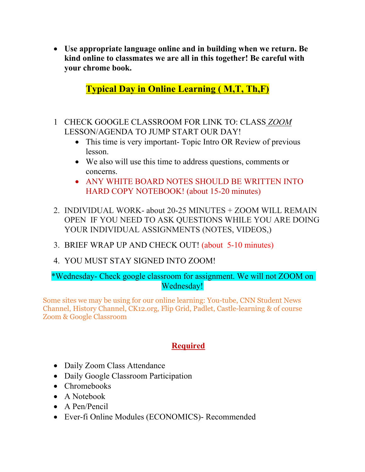**Use appropriate language online and in building when we return. Be kind online to classmates we are all in this together! Be careful with your chrome book.**

**Typical Day in Online Learning ( M,T, Th,F)**

- 1 CHECK GOOGLE CLASSROOM FOR LINK TO: CLASS *ZOOM* LESSON/AGENDA TO JUMP START OUR DAY!
	- This time is very important- Topic Intro OR Review of previous lesson.
	- We also will use this time to address questions, comments or concerns.
	- ANY WHITE BOARD NOTES SHOULD BE WRITTEN INTO HARD COPY NOTEBOOK! (about 15-20 minutes)
- 2. INDIVIDUAL WORK- about 20-25 MINUTES + ZOOM WILL REMAIN OPEN IF YOU NEED TO ASK QUESTIONS WHILE YOU ARE DOING YOUR INDIVIDUAL ASSIGNMENTS (NOTES, VIDEOS,)
- 3. BRIEF WRAP UP AND CHECK OUT! (about 5-10 minutes)
- 4. YOU MUST STAY SIGNED INTO ZOOM!

#### \*Wednesday- Check google classroom for assignment. We will not ZOOM on Wednesday!

Some sites we may be using for our online learning: You-tube, CNN Student News Channel, History Channel, CK12.org, Flip Grid, Padlet, Castle-learning & of course Zoom & Google Classroom

### **Required**

- Daily Zoom Class Attendance
- Daily Google Classroom Participation
- Chromebooks
- A Notebook
- A Pen/Pencil
- Ever-fi Online Modules (ECONOMICS)- Recommended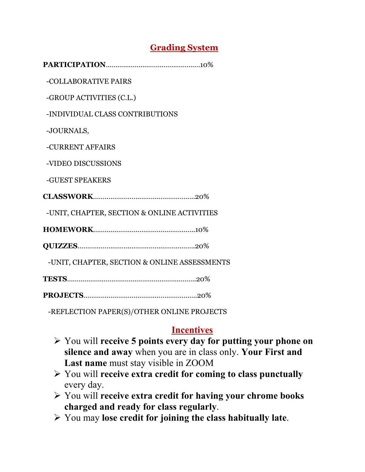## **Grading System**

**PARTICIPATION**………………………………………….10%

-COLLABORATIVE PAIRS

-GROUP ACTIVITIES (C.L.)

-INDIVIDUAL CLASS CONTRIBUTIONS

-JOURNALS,

-CURRENT AFFAIRS

-VIDEO DISCUSSIONS

-GUEST SPEAKERS

**CLASSWORK**……………………………………………..20%

-UNIT, CHAPTER, SECTION & ONLINE ACTIVITIES

**HOMEWORK**……………………………………………..10%

**QUIZZES**…………………………………………………….20%

-UNIT, CHAPTER, SECTION & ONLINE ASSESSMENTS

**TESTS**………………………………………………………….20%

**PROJECTS**…………………………………………………..20%

-REFLECTION PAPER(S)/OTHER ONLINE PROJECTS

### **Incentives**

- You will **receive 5 points every day for putting your phone on silence and away** when you are in class only. **Your First and Last name** must stay visible in ZOOM
- You will **receive extra credit for coming to class punctually** every day.
- You will **receive extra credit for having your chrome books charged and ready for class regularly**.
- You may **lose credit for joining the class habitually late**.